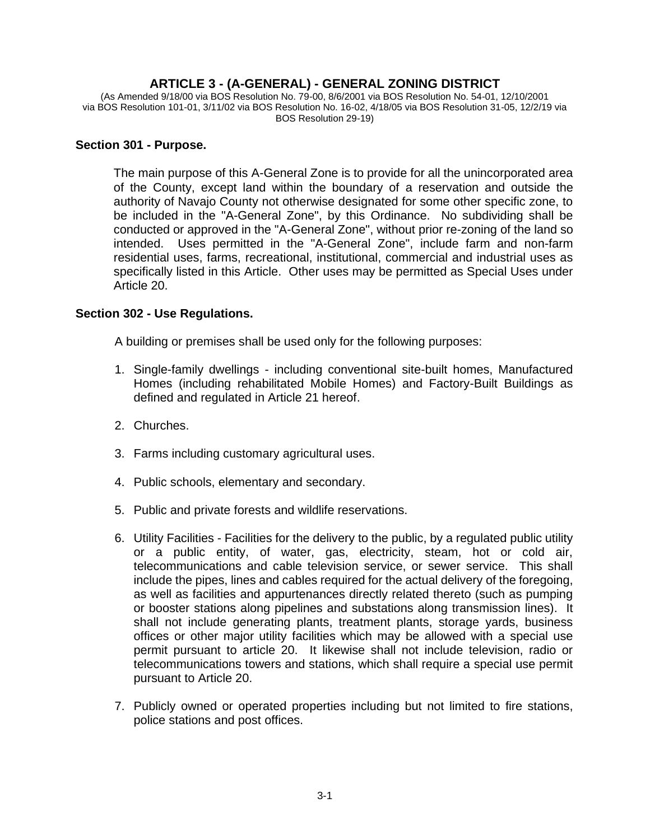# **ARTICLE 3 - (A-GENERAL) - GENERAL ZONING DISTRICT**

(As Amended 9/18/00 via BOS Resolution No. 79-00, 8/6/2001 via BOS Resolution No. 54-01, 12/10/2001 via BOS Resolution 101-01, 3/11/02 via BOS Resolution No. 16-02, 4/18/05 via BOS Resolution 31-05, 12/2/19 via BOS Resolution 29-19)

### **Section 301 - Purpose.**

The main purpose of this A-General Zone is to provide for all the unincorporated area of the County, except land within the boundary of a reservation and outside the authority of Navajo County not otherwise designated for some other specific zone, to be included in the "A-General Zone", by this Ordinance. No subdividing shall be conducted or approved in the "A-General Zone", without prior re-zoning of the land so intended. Uses permitted in the "A-General Zone", include farm and non-farm residential uses, farms, recreational, institutional, commercial and industrial uses as specifically listed in this Article. Other uses may be permitted as Special Uses under Article 20.

## **Section 302 - Use Regulations.**

A building or premises shall be used only for the following purposes:

- 1. Single-family dwellings including conventional site-built homes, Manufactured Homes (including rehabilitated Mobile Homes) and Factory-Built Buildings as defined and regulated in Article 21 hereof.
- 2. Churches.
- 3. Farms including customary agricultural uses.
- 4. Public schools, elementary and secondary.
- 5. Public and private forests and wildlife reservations.
- 6. Utility Facilities Facilities for the delivery to the public, by a regulated public utility or a public entity, of water, gas, electricity, steam, hot or cold air, telecommunications and cable television service, or sewer service. This shall include the pipes, lines and cables required for the actual delivery of the foregoing, as well as facilities and appurtenances directly related thereto (such as pumping or booster stations along pipelines and substations along transmission lines). It shall not include generating plants, treatment plants, storage yards, business offices or other major utility facilities which may be allowed with a special use permit pursuant to article 20. It likewise shall not include television, radio or telecommunications towers and stations, which shall require a special use permit pursuant to Article 20.
- 7. Publicly owned or operated properties including but not limited to fire stations, police stations and post offices.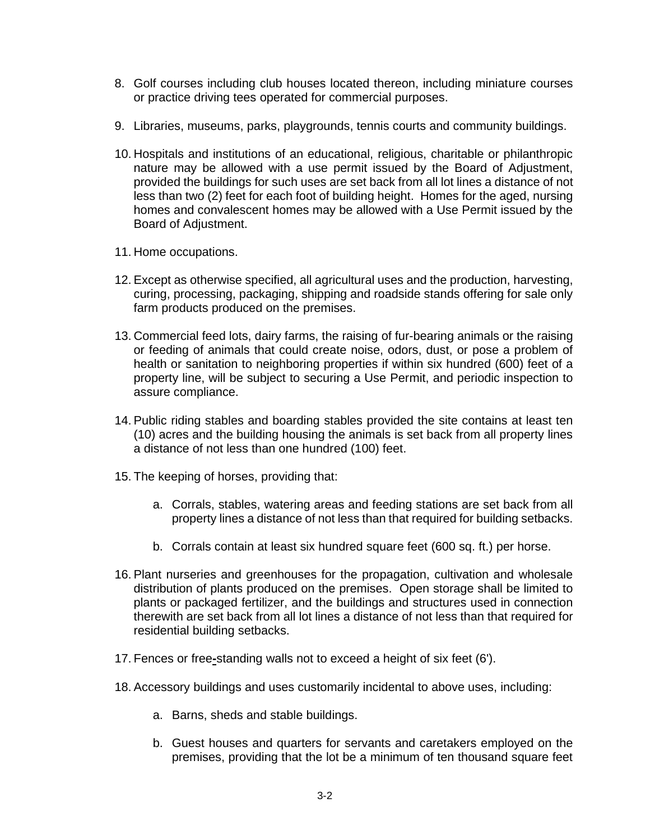- 8. Golf courses including club houses located thereon, including miniature courses or practice driving tees operated for commercial purposes.
- 9. Libraries, museums, parks, playgrounds, tennis courts and community buildings.
- 10. Hospitals and institutions of an educational, religious, charitable or philanthropic nature may be allowed with a use permit issued by the Board of Adjustment, provided the buildings for such uses are set back from all lot lines a distance of not less than two (2) feet for each foot of building height. Homes for the aged, nursing homes and convalescent homes may be allowed with a Use Permit issued by the Board of Adjustment.
- 11. Home occupations.
- 12. Except as otherwise specified, all agricultural uses and the production, harvesting, curing, processing, packaging, shipping and roadside stands offering for sale only farm products produced on the premises.
- 13. Commercial feed lots, dairy farms, the raising of fur-bearing animals or the raising or feeding of animals that could create noise, odors, dust, or pose a problem of health or sanitation to neighboring properties if within six hundred (600) feet of a property line, will be subject to securing a Use Permit, and periodic inspection to assure compliance.
- 14. Public riding stables and boarding stables provided the site contains at least ten (10) acres and the building housing the animals is set back from all property lines a distance of not less than one hundred (100) feet.
- 15. The keeping of horses, providing that:
	- a. Corrals, stables, watering areas and feeding stations are set back from all property lines a distance of not less than that required for building setbacks.
	- b. Corrals contain at least six hundred square feet (600 sq. ft.) per horse.
- 16. Plant nurseries and greenhouses for the propagation, cultivation and wholesale distribution of plants produced on the premises. Open storage shall be limited to plants or packaged fertilizer, and the buildings and structures used in connection therewith are set back from all lot lines a distance of not less than that required for residential building setbacks.
- 17. Fences or free**-**standing walls not to exceed a height of six feet (6').
- 18. Accessory buildings and uses customarily incidental to above uses, including:
	- a. Barns, sheds and stable buildings.
	- b. Guest houses and quarters for servants and caretakers employed on the premises, providing that the lot be a minimum of ten thousand square feet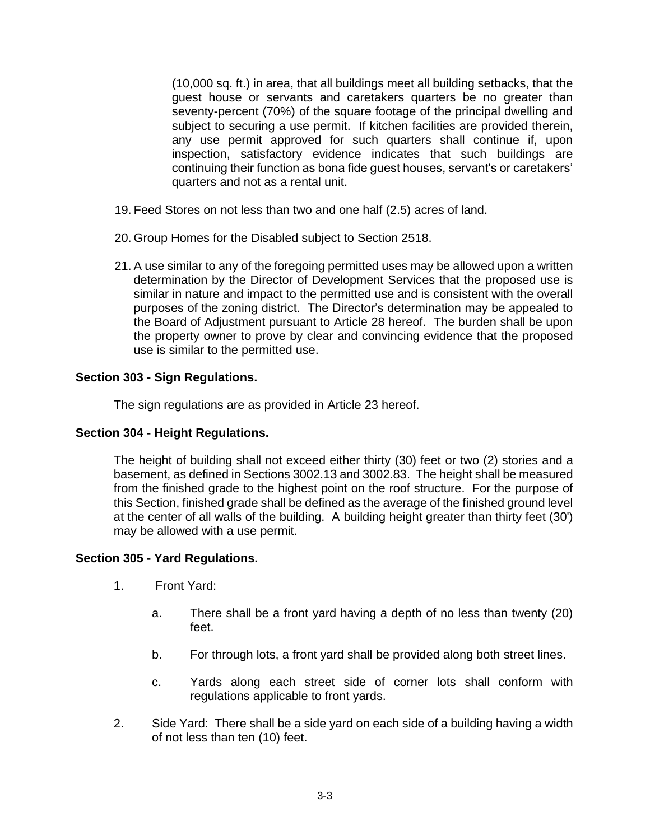(10,000 sq. ft.) in area, that all buildings meet all building setbacks, that the guest house or servants and caretakers quarters be no greater than seventy-percent (70%) of the square footage of the principal dwelling and subject to securing a use permit. If kitchen facilities are provided therein, any use permit approved for such quarters shall continue if, upon inspection, satisfactory evidence indicates that such buildings are continuing their function as bona fide guest houses, servant's or caretakers' quarters and not as a rental unit.

- 19. Feed Stores on not less than two and one half (2.5) acres of land.
- 20. Group Homes for the Disabled subject to Section 2518.
- 21. A use similar to any of the foregoing permitted uses may be allowed upon a written determination by the Director of Development Services that the proposed use is similar in nature and impact to the permitted use and is consistent with the overall purposes of the zoning district. The Director's determination may be appealed to the Board of Adjustment pursuant to Article 28 hereof. The burden shall be upon the property owner to prove by clear and convincing evidence that the proposed use is similar to the permitted use.

### **Section 303 - Sign Regulations.**

The sign regulations are as provided in Article 23 hereof.

#### **Section 304 - Height Regulations.**

The height of building shall not exceed either thirty (30) feet or two (2) stories and a basement, as defined in Sections 3002.13 and 3002.83. The height shall be measured from the finished grade to the highest point on the roof structure. For the purpose of this Section, finished grade shall be defined as the average of the finished ground level at the center of all walls of the building. A building height greater than thirty feet (30') may be allowed with a use permit.

#### **Section 305 - Yard Regulations.**

- 1. Front Yard:
	- a. There shall be a front yard having a depth of no less than twenty (20) feet.
	- b. For through lots, a front yard shall be provided along both street lines.
	- c. Yards along each street side of corner lots shall conform with regulations applicable to front yards.
- 2. Side Yard: There shall be a side yard on each side of a building having a width of not less than ten (10) feet.